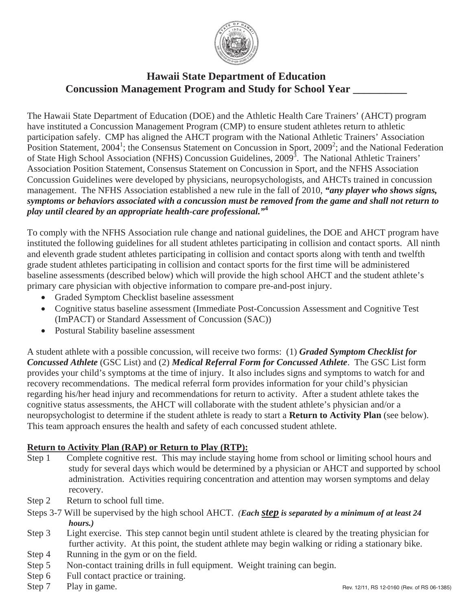

## **Hawaii State Department of Education Concussion Management Program and Study for School Year \_\_\_\_\_\_\_\_\_\_**

The Hawaii State Department of Education (DOE) and the Athletic Health Care Trainers' (AHCT) program have instituted a Concussion Management Program (CMP) to ensure student athletes return to athletic participation safely. CMP has aligned the AHCT program with the National Athletic Trainers' Association Position Statement, 2004<sup>1</sup>; the Consensus Statement on Concussion in Sport, 2009<sup>2</sup>; and the National Federation of State High School Association (NFHS) Concussion Guidelines, 2009<sup>3</sup>. The National Athletic Trainers' Association Position Statement, Consensus Statement on Concussion in Sport, and the NFHS Association Concussion Guidelines were developed by physicians, neuropsychologists, and AHCTs trained in concussion management. The NFHS Association established a new rule in the fall of 2010, *"any player who shows signs, symptoms or behaviors associated with a concussion must be removed from the game and shall not return to play until cleared by an appropriate health-care professional."***<sup>4</sup>**

To comply with the NFHS Association rule change and national guidelines, the DOE and AHCT program have instituted the following guidelines for all student athletes participating in collision and contact sports. All ninth and eleventh grade student athletes participating in collision and contact sports along with tenth and twelfth grade student athletes participating in collision and contact sports for the first time will be administered baseline assessments (described below) which will provide the high school AHCT and the student athlete's primary care physician with objective information to compare pre-and-post injury.

- Graded Symptom Checklist baseline assessment
- Cognitive status baseline assessment (Immediate Post-Concussion Assessment and Cognitive Test (ImPACT) or Standard Assessment of Concussion (SAC))
- Postural Stability baseline assessment

A student athlete with a possible concussion, will receive two forms: (1) *Graded Symptom Checklist for Concussed Athlete* (GSC List) and (2) *Medical Referral Form for Concussed Athlete*. The GSC List form provides your child's symptoms at the time of injury. It also includes signs and symptoms to watch for and recovery recommendations. The medical referral form provides information for your child's physician regarding his/her head injury and recommendations for return to activity. After a student athlete takes the cognitive status assessments, the AHCT will collaborate with the student athlete's physician and/or a neuropsychologist to determine if the student athlete is ready to start a **Return to Activity Plan** (see below). This team approach ensures the health and safety of each concussed student athlete.

## **Return to Activity Plan (RAP) or Return to Play (RTP):**

- Step 1 Complete cognitive rest. This may include staying home from school or limiting school hours and study for several days which would be determined by a physician or AHCT and supported by school administration. Activities requiring concentration and attention may worsen symptoms and delay recovery.
- Step 2 Return to school full time.
- Steps 3-7 Will be supervised by the high school AHCT. *(Each step is separated by a minimum of at least 24 hours.)*
- Step 3 Light exercise. This step cannot begin until student athlete is cleared by the treating physician for further activity. At this point, the student athlete may begin walking or riding a stationary bike.
- Step 4 Running in the gym or on the field.
- Step 5 Non-contact training drills in full equipment. Weight training can begin.
- Step 6 Full contact practice or training.
- Step 7 Play in game.